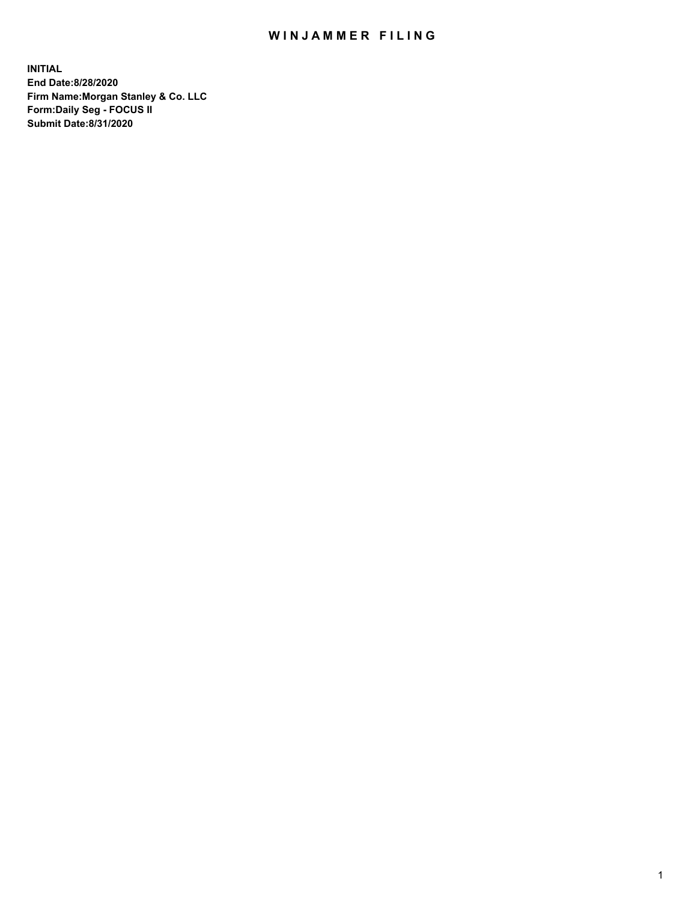## WIN JAMMER FILING

**INITIAL End Date:8/28/2020 Firm Name:Morgan Stanley & Co. LLC Form:Daily Seg - FOCUS II Submit Date:8/31/2020**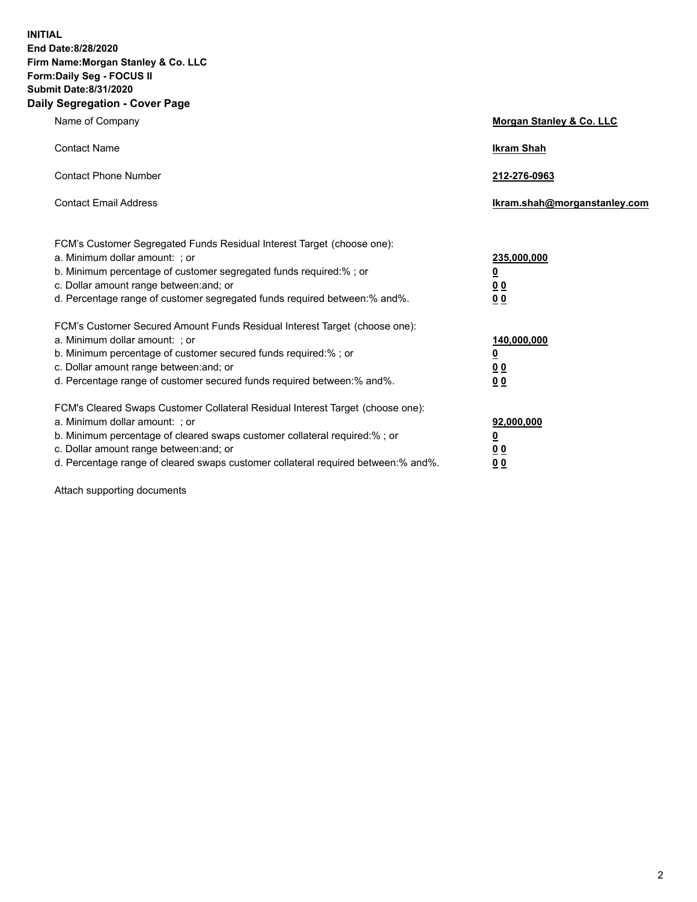**INITIAL End Date:8/28/2020 Firm Name:Morgan Stanley & Co. LLC Form:Daily Seg - FOCUS II Submit Date:8/31/2020 Daily Segregation - Cover Page**

| Name of Company                                                                                                                                                                                                                                                                                                                | Morgan Stanley & Co. LLC                                |
|--------------------------------------------------------------------------------------------------------------------------------------------------------------------------------------------------------------------------------------------------------------------------------------------------------------------------------|---------------------------------------------------------|
| <b>Contact Name</b>                                                                                                                                                                                                                                                                                                            | <b>Ikram Shah</b>                                       |
| <b>Contact Phone Number</b>                                                                                                                                                                                                                                                                                                    | 212-276-0963                                            |
| <b>Contact Email Address</b>                                                                                                                                                                                                                                                                                                   | Ikram.shah@morganstanley.com                            |
| FCM's Customer Segregated Funds Residual Interest Target (choose one):<br>a. Minimum dollar amount: ; or<br>b. Minimum percentage of customer segregated funds required:% ; or<br>c. Dollar amount range between: and; or<br>d. Percentage range of customer segregated funds required between:% and%.                         | 235,000,000<br><u>0</u><br><u>00</u><br><u>00</u>       |
| FCM's Customer Secured Amount Funds Residual Interest Target (choose one):<br>a. Minimum dollar amount: ; or<br>b. Minimum percentage of customer secured funds required:%; or<br>c. Dollar amount range between: and; or<br>d. Percentage range of customer secured funds required between:% and%.                            | 140,000,000<br><u>0</u><br><u>0 0</u><br>0 <sub>0</sub> |
| FCM's Cleared Swaps Customer Collateral Residual Interest Target (choose one):<br>a. Minimum dollar amount: ; or<br>b. Minimum percentage of cleared swaps customer collateral required:% ; or<br>c. Dollar amount range between: and; or<br>d. Percentage range of cleared swaps customer collateral required between:% and%. | 92,000,000<br><u>0</u><br><u>00</u><br>00               |

Attach supporting documents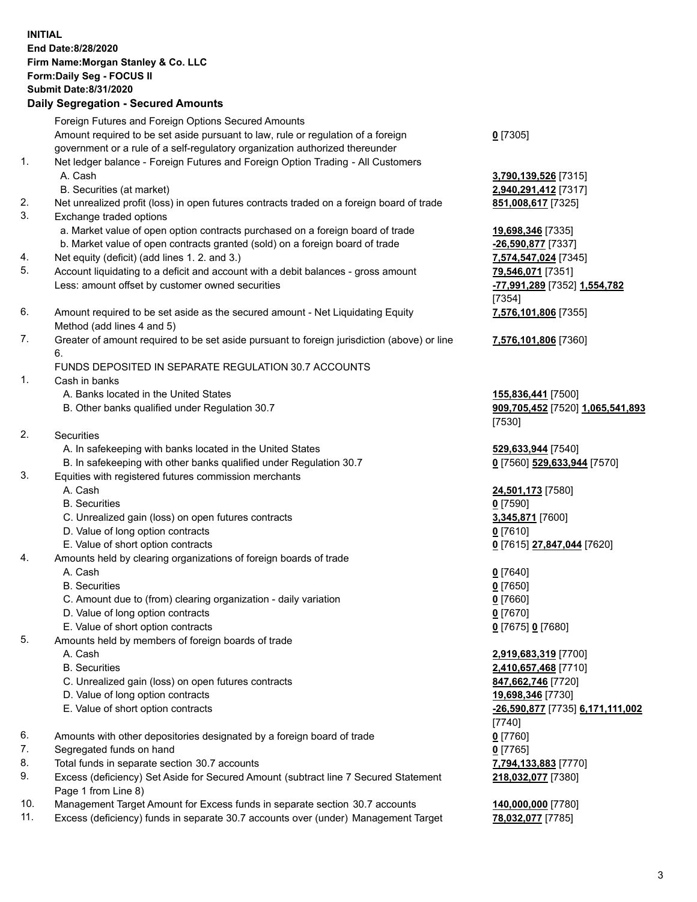| <b>INITIAL</b> | End Date:8/28/2020<br>Firm Name: Morgan Stanley & Co. LLC<br>Form: Daily Seg - FOCUS II<br><b>Submit Date: 8/31/2020</b><br><b>Daily Segregation - Secured Amounts</b> |                                              |
|----------------|------------------------------------------------------------------------------------------------------------------------------------------------------------------------|----------------------------------------------|
|                | Foreign Futures and Foreign Options Secured Amounts                                                                                                                    |                                              |
|                | Amount required to be set aside pursuant to law, rule or regulation of a foreign<br>government or a rule of a self-regulatory organization authorized thereunder       | $0$ [7305]                                   |
| 1.             | Net ledger balance - Foreign Futures and Foreign Option Trading - All Customers<br>A. Cash                                                                             | 3,790,139,526 [7315]                         |
|                | B. Securities (at market)                                                                                                                                              | 2,940,291,412 [7317]                         |
| 2.<br>3.       | Net unrealized profit (loss) in open futures contracts traded on a foreign board of trade<br>Exchange traded options                                                   | 851,008,617 [7325]                           |
|                | a. Market value of open option contracts purchased on a foreign board of trade                                                                                         | 19,698,346 [7335]                            |
|                | b. Market value of open contracts granted (sold) on a foreign board of trade                                                                                           | -26,590,877 [7337]                           |
| 4.             | Net equity (deficit) (add lines 1. 2. and 3.)                                                                                                                          | 7,574,547,024 [7345]                         |
| 5.             | Account liquidating to a deficit and account with a debit balances - gross amount                                                                                      | 79,546,071 [7351]                            |
|                | Less: amount offset by customer owned securities                                                                                                                       | -77,991,289 [7352] 1,554,782<br>[7354]       |
| 6.             | Amount required to be set aside as the secured amount - Net Liquidating Equity<br>Method (add lines 4 and 5)                                                           | 7,576,101,806 [7355]                         |
| 7.             | Greater of amount required to be set aside pursuant to foreign jurisdiction (above) or line<br>6.                                                                      | 7,576,101,806 [7360]                         |
|                | FUNDS DEPOSITED IN SEPARATE REGULATION 30.7 ACCOUNTS                                                                                                                   |                                              |
| 1.             | Cash in banks                                                                                                                                                          |                                              |
|                | A. Banks located in the United States                                                                                                                                  | 155,836,441 [7500]                           |
|                | B. Other banks qualified under Regulation 30.7                                                                                                                         | 909,705,452 [7520] 1,065,541,893<br>[7530]   |
| 2.             | <b>Securities</b>                                                                                                                                                      |                                              |
|                | A. In safekeeping with banks located in the United States                                                                                                              | 529,633,944 [7540]                           |
|                | B. In safekeeping with other banks qualified under Regulation 30.7                                                                                                     | 0 [7560] 529,633,944 [7570]                  |
| 3.             | Equities with registered futures commission merchants                                                                                                                  |                                              |
|                | A. Cash                                                                                                                                                                | 24,501,173 [7580]                            |
|                | <b>B.</b> Securities                                                                                                                                                   | $0$ [7590]                                   |
|                | C. Unrealized gain (loss) on open futures contracts<br>D. Value of long option contracts                                                                               | 3,345,871 [7600]<br><u>0</u> [7610]          |
|                | E. Value of short option contracts                                                                                                                                     | 0 [7615] 27,847,044 [7620]                   |
| 4.             | Amounts held by clearing organizations of foreign boards of trade                                                                                                      |                                              |
|                | A. Cash                                                                                                                                                                | $0$ [7640]                                   |
|                | <b>B.</b> Securities                                                                                                                                                   | $0$ [7650]                                   |
|                | C. Amount due to (from) clearing organization - daily variation                                                                                                        | $0$ [7660]                                   |
|                | D. Value of long option contracts                                                                                                                                      | $0$ [7670]                                   |
|                | E. Value of short option contracts                                                                                                                                     | 0 [7675] 0 [7680]                            |
| 5.             | Amounts held by members of foreign boards of trade<br>A. Cash                                                                                                          |                                              |
|                | <b>B.</b> Securities                                                                                                                                                   | 2,919,683,319 [7700]<br>2,410,657,468 [7710] |
|                | C. Unrealized gain (loss) on open futures contracts                                                                                                                    | 847,662,746 [7720]                           |
|                | D. Value of long option contracts                                                                                                                                      | 19,698,346 [7730]                            |
|                | E. Value of short option contracts                                                                                                                                     | -26,590,877 [7735] 6,171,111,002             |
|                |                                                                                                                                                                        | [7740]                                       |
| 6.             | Amounts with other depositories designated by a foreign board of trade                                                                                                 | $0$ [7760]                                   |
| 7.             | Segregated funds on hand                                                                                                                                               | $0$ [7765]                                   |
| 8.             | Total funds in separate section 30.7 accounts                                                                                                                          | 7,794,133,883 [7770]                         |
| 9.             | Excess (deficiency) Set Aside for Secured Amount (subtract line 7 Secured Statement<br>Page 1 from Line 8)                                                             | 218,032,077 [7380]                           |

- 10. Management Target Amount for Excess funds in separate section 30.7 accounts **140,000,000** [7780]
- 11. Excess (deficiency) funds in separate 30.7 accounts over (under) Management Target **78,032,077** [7785]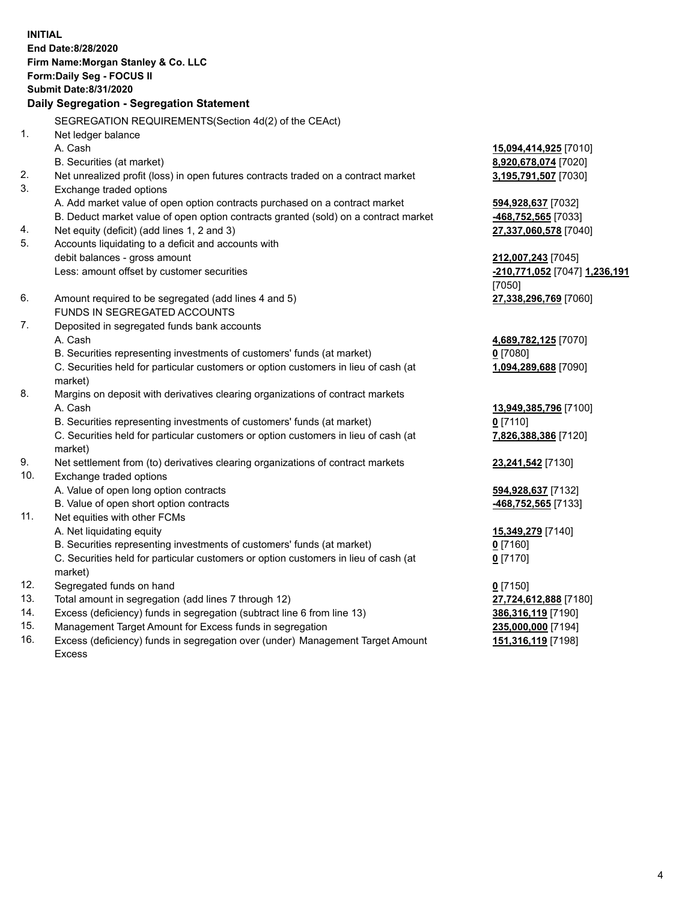**INITIAL End Date:8/28/2020 Firm Name:Morgan Stanley & Co. LLC Form:Daily Seg - FOCUS II Submit Date:8/31/2020 Daily Segregation - Segregation Statement** SEGREGATION REQUIREMENTS(Section 4d(2) of the CEAct) 1. Net ledger balance A. Cash **15,094,414,925** [7010] B. Securities (at market) **8,920,678,074** [7020] 2. Net unrealized profit (loss) in open futures contracts traded on a contract market **3,195,791,507** [7030] 3. Exchange traded options A. Add market value of open option contracts purchased on a contract market **594,928,637** [7032] B. Deduct market value of open option contracts granted (sold) on a contract market **-468,752,565** [7033] 4. Net equity (deficit) (add lines 1, 2 and 3) **27,337,060,578** [7040] 5. Accounts liquidating to a deficit and accounts with debit balances - gross amount **212,007,243** [7045] Less: amount offset by customer securities **-210,771,052** [7047] **1,236,191** [7050] 6. Amount required to be segregated (add lines 4 and 5) **27,338,296,769** [7060] FUNDS IN SEGREGATED ACCOUNTS 7. Deposited in segregated funds bank accounts A. Cash **4,689,782,125** [7070] B. Securities representing investments of customers' funds (at market) **0** [7080] C. Securities held for particular customers or option customers in lieu of cash (at market) **1,094,289,688** [7090] 8. Margins on deposit with derivatives clearing organizations of contract markets A. Cash **13,949,385,796** [7100] B. Securities representing investments of customers' funds (at market) **0** [7110] C. Securities held for particular customers or option customers in lieu of cash (at market) **7,826,388,386** [7120] 9. Net settlement from (to) derivatives clearing organizations of contract markets **23,241,542** [7130] 10. Exchange traded options A. Value of open long option contracts **594,928,637** [7132] B. Value of open short option contracts **-468,752,565** [7133] 11. Net equities with other FCMs A. Net liquidating equity **15,349,279** [7140] B. Securities representing investments of customers' funds (at market) **0** [7160] C. Securities held for particular customers or option customers in lieu of cash (at market) **0** [7170] 12. Segregated funds on hand **0** [7150] 13. Total amount in segregation (add lines 7 through 12) **27,724,612,888** [7180] 14. Excess (deficiency) funds in segregation (subtract line 6 from line 13) **386,316,119** [7190] 15. Management Target Amount for Excess funds in segregation **235,000,000** [7194] **151,316,119** [7198]

16. Excess (deficiency) funds in segregation over (under) Management Target Amount Excess